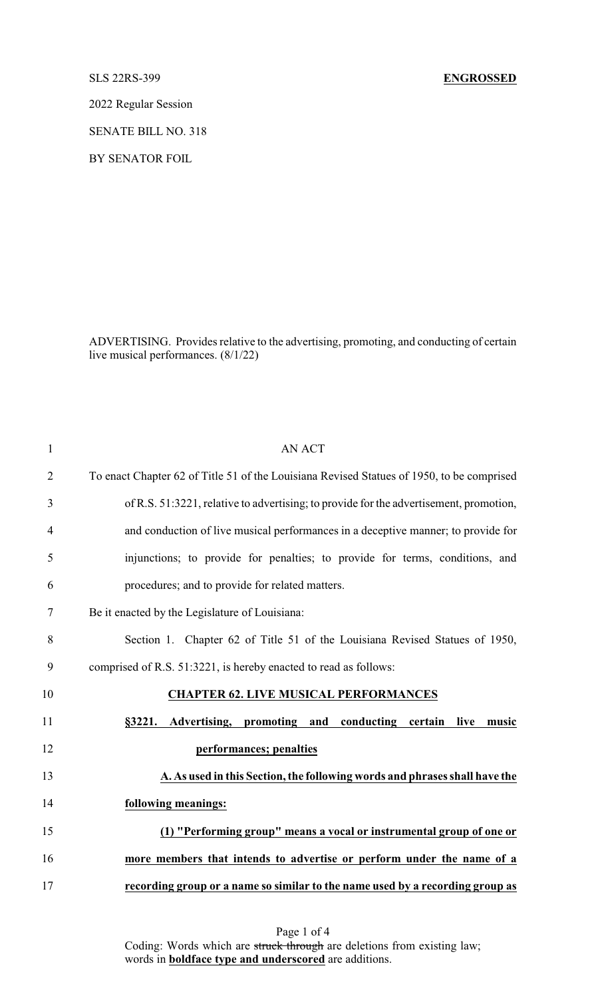2022 Regular Session

SENATE BILL NO. 318

BY SENATOR FOIL

ADVERTISING. Provides relative to the advertising, promoting, and conducting of certain live musical performances. (8/1/22)

| $\mathbf{1}$   | <b>AN ACT</b>                                                                             |
|----------------|-------------------------------------------------------------------------------------------|
| $\overline{2}$ | To enact Chapter 62 of Title 51 of the Louisiana Revised Statues of 1950, to be comprised |
| 3              | of R.S. 51:3221, relative to advertising; to provide for the advertisement, promotion,    |
| $\overline{4}$ | and conduction of live musical performances in a deceptive manner; to provide for         |
| 5              | injunctions; to provide for penalties; to provide for terms, conditions, and              |
| 6              | procedures; and to provide for related matters.                                           |
| 7              | Be it enacted by the Legislature of Louisiana:                                            |
| 8              | Section 1. Chapter 62 of Title 51 of the Louisiana Revised Statues of 1950,               |
| 9              | comprised of R.S. 51:3221, is hereby enacted to read as follows:                          |
| 10             | <b>CHAPTER 62. LIVE MUSICAL PERFORMANCES</b>                                              |
| 11             | Advertising, promoting and conducting certain live<br>§3221.<br>music                     |
| 12             | performances; penalties                                                                   |
| 13             | A. As used in this Section, the following words and phrases shall have the                |
| 14             | following meanings:                                                                       |
| 15             | (1) "Performing group" means a vocal or instrumental group of one or                      |
| 16             | more members that intends to advertise or perform under the name of a                     |
| 17             | recording group or a name so similar to the name used by a recording group as             |
|                |                                                                                           |

Page 1 of 4 Coding: Words which are struck through are deletions from existing law; words in **boldface type and underscored** are additions.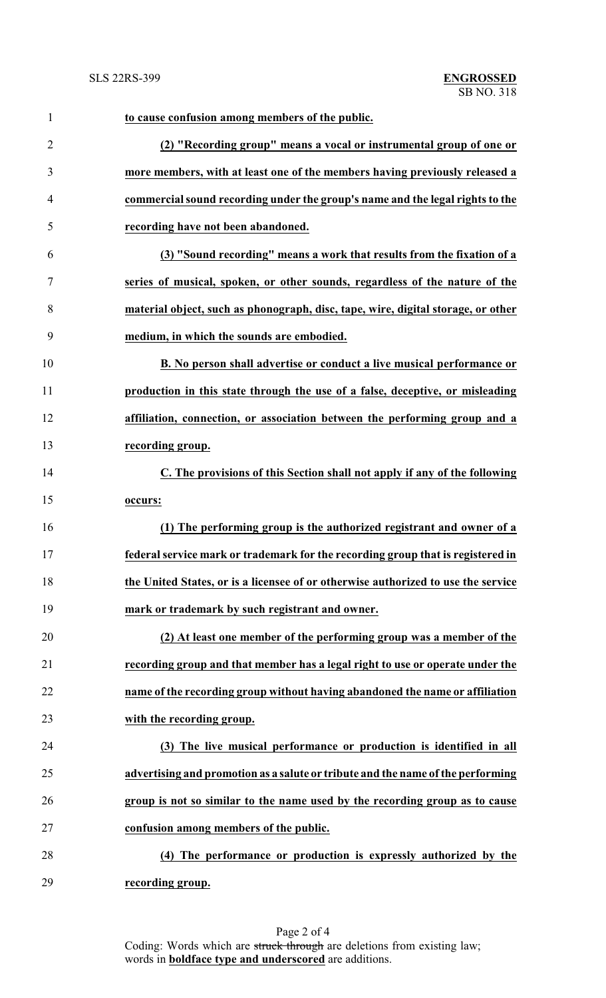| $\mathbf{1}$   | to cause confusion among members of the public.                                   |
|----------------|-----------------------------------------------------------------------------------|
| $\overline{2}$ | (2) "Recording group" means a vocal or instrumental group of one or               |
| 3              | more members, with at least one of the members having previously released a       |
| $\overline{4}$ | commercial sound recording under the group's name and the legal rights to the     |
| 5              | recording have not been abandoned.                                                |
| 6              | (3) "Sound recording" means a work that results from the fixation of a            |
| $\tau$         | series of musical, spoken, or other sounds, regardless of the nature of the       |
| 8              | material object, such as phonograph, disc, tape, wire, digital storage, or other  |
| 9              | medium, in which the sounds are embodied.                                         |
| 10             | B. No person shall advertise or conduct a live musical performance or             |
| 11             | production in this state through the use of a false, deceptive, or misleading     |
| 12             | affiliation, connection, or association between the performing group and a        |
| 13             | recording group.                                                                  |
| 14             | C. The provisions of this Section shall not apply if any of the following         |
| 15             | occurs:                                                                           |
| 16             | (1) The performing group is the authorized registrant and owner of a              |
| 17             | federal service mark or trademark for the recording group that is registered in   |
| 18             | the United States, or is a licensee of or otherwise authorized to use the service |
| 19             | mark or trademark by such registrant and owner.                                   |
| 20             | (2) At least one member of the performing group was a member of the               |
| 21             | recording group and that member has a legal right to use or operate under the     |
| 22             | name of the recording group without having abandoned the name or affiliation      |
| 23             | with the recording group.                                                         |
| 24             | (3) The live musical performance or production is identified in all               |
| 25             | advertising and promotion as a salute or tribute and the name of the performing   |
| 26             | group is not so similar to the name used by the recording group as to cause       |
| 27             | confusion among members of the public.                                            |
| 28             | (4) The performance or production is expressly authorized by the                  |
| 29             | recording group.                                                                  |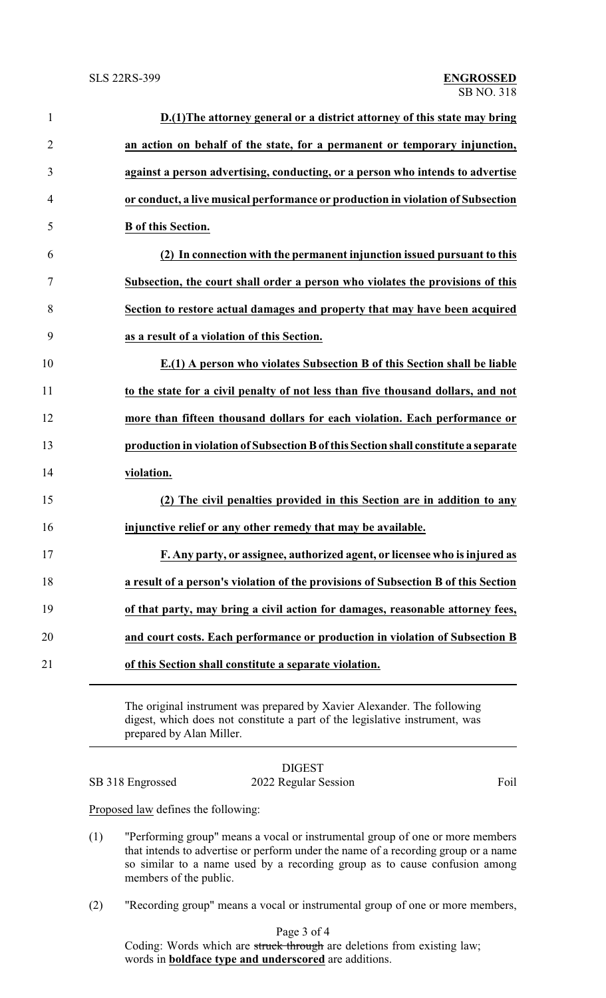| $\mathbf{1}$   | D.(1) The attorney general or a district attorney of this state may bring           |
|----------------|-------------------------------------------------------------------------------------|
| $\overline{2}$ | an action on behalf of the state, for a permanent or temporary injunction,          |
| 3              | against a person advertising, conducting, or a person who intends to advertise      |
| 4              | or conduct, a live musical performance or production in violation of Subsection     |
| 5              | <b>B</b> of this Section.                                                           |
| 6              | (2) In connection with the permanent injunction issued pursuant to this             |
| 7              | Subsection, the court shall order a person who violates the provisions of this      |
| 8              | Section to restore actual damages and property that may have been acquired          |
| 9              | as a result of a violation of this Section.                                         |
| 10             | E.(1) A person who violates Subsection B of this Section shall be liable            |
| 11             | to the state for a civil penalty of not less than five thousand dollars, and not    |
| 12             | more than fifteen thousand dollars for each violation. Each performance or          |
| 13             | production in violation of Subsection B of this Section shall constitute a separate |
| 14             | violation.                                                                          |
| 15             | (2) The civil penalties provided in this Section are in addition to any             |
| 16             | injunctive relief or any other remedy that may be available.                        |
| 17             | F. Any party, or assignee, authorized agent, or licensee who is injured as          |
| 18             | a result of a person's violation of the provisions of Subsection B of this Section  |
| 19             | of that party, may bring a civil action for damages, reasonable attorney fees,      |
| 20             | and court costs. Each performance or production in violation of Subsection B        |
| 21             | of this Section shall constitute a separate violation.                              |
|                |                                                                                     |

The original instrument was prepared by Xavier Alexander. The following digest, which does not constitute a part of the legislative instrument, was prepared by Alan Miller.

## DIGEST SB 318 Engrossed 2022 Regular Session Foil

Proposed law defines the following:

- (1) "Performing group" means a vocal or instrumental group of one or more members that intends to advertise or perform under the name of a recording group or a name so similar to a name used by a recording group as to cause confusion among members of the public.
- (2) "Recording group" means a vocal or instrumental group of one or more members,

Page 3 of 4

Coding: Words which are struck through are deletions from existing law; words in **boldface type and underscored** are additions.